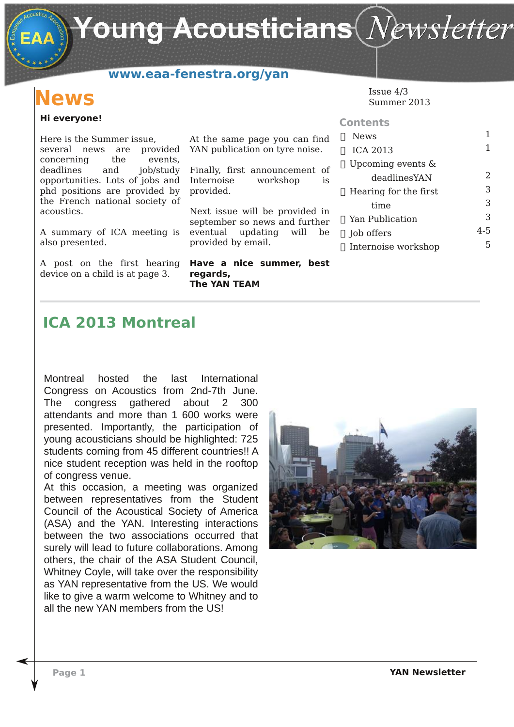Young Acousticians Newsletter

#### **www.eaa-fenestra.org/yan**

## **News**

#### **Hi everyone!**

Here is the Summer issue, several news are provided YAN publication on tyre noise. concerning the events, deadlines and iob/study opportunities. Lots of jobs and phd positions are provided by the French national society of acoustics.

A summary of ICA meeting is also presented.

A post on the first hearing device on a child is at page 3.

At the same page you can find

Finally, first announcement of Internoise workshop is provided.

Next issue will be provided in september so news and further eventual updating will be provided by email.

**Have a nice summer, best regards, The YAN TEAM**

Issue 4/3 Summer 2013

#### **Contents**

| 2   |
|-----|
| 3   |
| 3   |
| 3   |
| 4-5 |
|     |
|     |

### **ICA 2013 Montreal**

Montreal hosted the last International Congress on Acoustics from 2nd-7th June. The congress gathered about 2 300 attendants and more than 1 600 works were presented. Importantly, the participation of young acousticians should be highlighted: 725 students coming from 45 different countries!! A nice student reception was held in the rooftop of congress venue.

At this occasion, a meeting was organized between representatives from the Student Council of the Acoustical Society of America (ASA) and the YAN. Interesting interactions between the two associations occurred that surely will lead to future collaborations. Among others, the chair of the ASA Student Council, Whitney Coyle, will take over the responsibility as YAN representative from the US. We would like to give a warm welcome to Whitney and to all the new YAN members from the US!

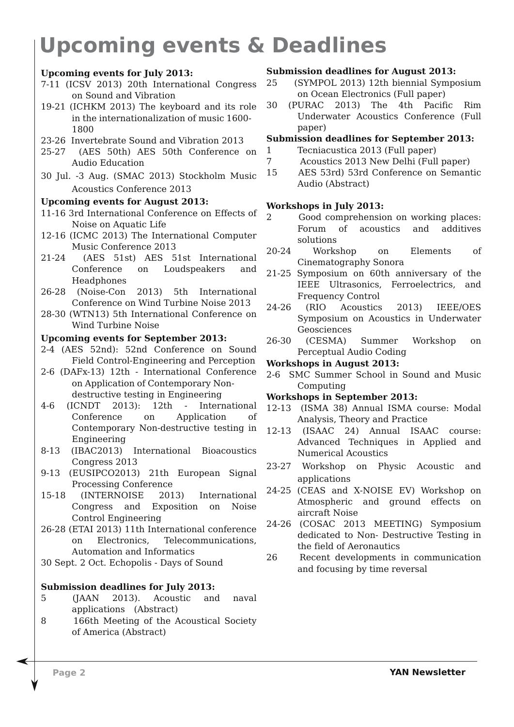# **Upcoming events & Deadlines**

#### **Upcoming events for July 2013:**

- 7-11 (ICSV 2013) 20th International Congress on Sound and Vibration
- 19-21 (ICHKM 2013) The keyboard and its role in the internationalization of music 1600- 1800
- 23-26 Invertebrate Sound and Vibration 2013
- 25-27 (AES 50th) AES 50th Conference on Audio Education
- 30 Jul. -3 Aug. (SMAC 2013) Stockholm Music Acoustics Conference 2013

**Upcoming events for August 2013:**

- 11-16 3rd International Conference on Effects of Noise on Aquatic Life
- 12-16 (ICMC 2013) The International Computer Music Conference 2013
- 21-24 (AES 51st) AES 51st International Conference on Loudspeakers and Headphones
- 26-28 (Noise-Con 2013) 5th International Conference on Wind Turbine Noise 2013
- 28-30 (WTN13) 5th International Conference on Wind Turbine Noise

**Upcoming events for September 2013:**

- 2-4 (AES 52nd): 52nd Conference on Sound Field Control-Engineering and Perception
- 2-6 (DAFx-13) 12th International Conference on Application of Contemporary Nondestructive testing in Engineering
- 4-6 (ICNDT 2013): 12th International Conference on Application of Contemporary Non-destructive testing in Engineering
- 8-13 (IBAC2013) International Bioacoustics Congress 2013
- 9-13 (EUSIPCO2013) 21th European Signal Processing Conference
- 15-18 (INTERNOISE 2013) International Congress and Exposition on Noise Control Engineering
- 26-28 (ETAI 2013) 11th International conference on Electronics, Telecommunications, Automation and Informatics
- 30 Sept. 2 Oct. Echopolis Days of Sound

**Submission deadlines for July 2013:**

- 5 (JAAN 2013). Acoustic and naval applications (Abstract)
- 8 166th Meeting of the Acoustical Society of America (Abstract)

**Submission deadlines for August 2013:**

- 25 (SYMPOL 2013) 12th biennial Symposium on Ocean Electronics (Full paper)
- 30 (PURAC 2013) The 4th Pacific Rim Underwater Acoustics Conference (Full paper)

**Submission deadlines for September 2013:**

- 1 Tecniacustica 2013 (Full paper)
- 7 Acoustics 2013 New Delhi (Full paper)
- 15 AES 53rd) 53rd Conference on Semantic Audio (Abstract)

**Workshops in July 2013:**

- 2 Good comprehension on working places: Forum of acoustics and additives solutions
- 20-24 Workshop on Elements of Cinematography Sonora
- 21-25 Symposium on 60th anniversary of the IEEE Ultrasonics, Ferroelectrics, and Frequency Control
- 24-26 (RIO Acoustics 2013) IEEE/OES Symposium on Acoustics in Underwater Geosciences
- 26-30 (CESMA) Summer Workshop on Perceptual Audio Coding

**Workshops in August 2013:**

2-6 SMC Summer School in Sound and Music Computing

**Workshops in September 2013:**

- 12-13 (ISMA 38) Annual ISMA course: Modal Analysis, Theory and Practice
- 12-13 (ISAAC 24) Annual ISAAC course: Advanced Techniques in Applied and Numerical Acoustics
- 23-27 Workshop on Physic Acoustic and applications
- 24-25 (CEAS and X-NOISE EV) Workshop on Atmospheric and ground effects on aircraft Noise
- 24-26 (COSAC 2013 MEETING) Symposium dedicated to Non- Destructive Testing in the field of Aeronautics
- 26 Recent developments in communication and focusing by time reversal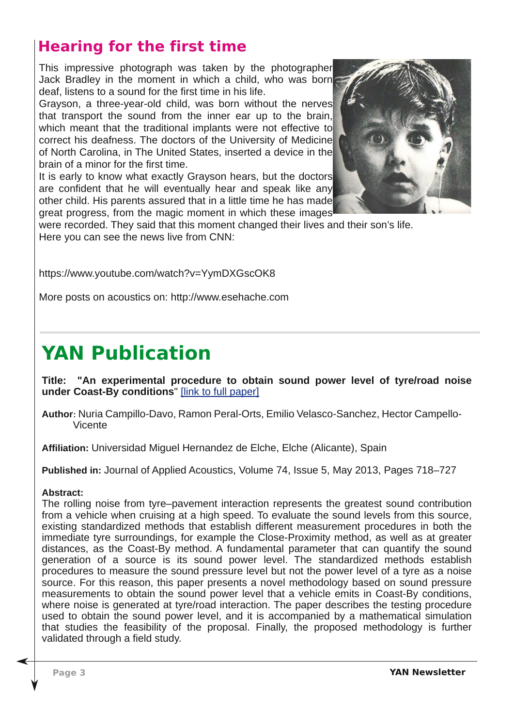### **Hearing for the first time**

This impressive photograph was taken by the photographer Jack Bradley in the moment in which a child, who was born deaf, listens to a sound for the first time in his life.

Grayson, a three-year-old child, was born without the nerves that transport the sound from the inner ear up to the brain, which meant that the traditional implants were not effective to correct his deafness. The doctors of the University of Medicine of North Carolina, in The United States, inserted a device in the brain of a minor for the first time.

It is early to know what exactly Grayson hears, but the doctors are confident that he will eventually hear and speak like any other child. His parents assured that in a little time he has made great progress, from the magic moment in which these images



were recorded. They said that this moment changed their lives and their son's life. Here you can see the news live from CNN:

<https://www.youtube.com/watch?v=YymDXGscOK8>

More posts on acoustics on: <http://www.esehache.com>

## **YAN Publication**

**Title: "An experimental procedure to obtain sound power level of tyre/road noise under Coast-By conditions**" [link to full [paper\]](http://www.sciencedirect.com/science/article/pii/S0003682X12003040)

Author: Nuria Campillo-Davo, Ramon Peral-Orts, Emilio Velasco-Sanchez, Hector Campello-Vicente

**Affiliation:** Universidad Miguel Hernandez de Elche, Elche (Alicante), Spain

**Published in:** Journal of Applied Acoustics, Volume 74, Issue 5, May 2013, Pages 718–727

#### **Abstract:**

The rolling noise from tyre–pavement interaction represents the greatest sound contribution from a vehicle when cruising at a high speed. To evaluate the sound levels from this source, existing standardized methods that establish different measurement procedures in both the immediate tyre surroundings, for example the Close-Proximity method, as well as at greater distances, as the Coast-By method. A fundamental parameter that can quantify the sound generation of a source is its sound power level. The standardized methods establish procedures to measure the sound pressure level but not the power level of a tyre as a noise source. For this reason, this paper presents a novel methodology based on sound pressure measurements to obtain the sound power level that a vehicle emits in Coast-By conditions, where noise is generated at tyre/road interaction. The paper describes the testing procedure used to obtain the sound power level, and it is accompanied by a mathematical simulation that studies the feasibility of the proposal. Finally, the proposed methodology is further validated through a field study.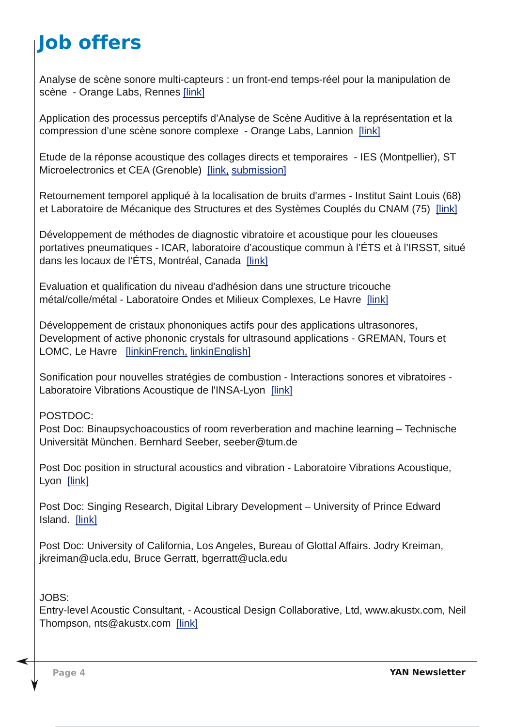# **Job offers**

Analyse de scène sonore multi-capteurs : un front-end temps-réel pour la manipulation de scène - Orange Labs, Rennes [\[link\]](http://sfa.asso.free.fr/ECHO_HEBDO/2013/doc/these_orangelabs_alexguerin.pdf)

Application des processus perceptifs d'Analyse de Scène Auditive à la représentation et la compression d'une scène sonore complexe - Orange Labs, Lannion [\[link\]](http://sfa.asso.free.fr/ECHO_HEBDO/2013/doc/these_orangelabs_rozennicol.pdf)

Etude de la réponse acoustique des collages directs et temporaires - IES (Montpellier), ST Microelectronics et CEA (Grenoble) [\[link,](http://sfa.asso.free.fr/ECHO_HEBDO/2013/doc/thesest-cea-ies.pdf) [submission\]](http://st.mycvthequehq.com/offre-fr-d008445d48dbd.html)

Retournement temporel appliqué à la localisation de bruits d'armes - Institut Saint Louis (68) et Laboratoire de Mécanique des Structures et des Systèmes Couplés du CNAM (75) [\[link\]](http://sfa.asso.free.fr/ECHO_HEBDO/2013/doc/these_isl_cnam_retournement_temporel.pdf)

Développement de méthodes de diagnostic vibratoire et acoustique pour les cloueuses portatives pneumatiques ICAR, laboratoire d'acoustique commun à l'ÉTS et à l'IRSST, situé dans les locaux de l'ÉTS, Montréal, Canada [\[link\]](http://sfa.asso.free.fr/ECHO_HEBDO/2013/doc/annonce_these_ets_irsst.pdf)

Evaluation et qualification du niveau d'adhésion dans une structure tricouche métal/colle/métal Laboratoire Ondes et Milieux Complexes, Le Havre [\[link\]](http://sfa.asso.free.fr/ECHO_HEBDO/2013/doc/these_end-collage_anr_isabeau.pdf)

Développement de cristaux phononiques actifs pour des applications ultrasonores, Development of active phononic crystals for ultrasound applications - GREMAN, Tours et LOMC, Le Havre [\[linkinFrench,](http://sfa.asso.free.fr/ECHO_HEBDO/2013/doc/these_fano_fr.pdf) [linkinEnglish\]](http://sfa.asso.free.fr/ECHO_HEBDO/2013/doc/these_fano_fr.pdf)

Sonification pour nouvelles stratégies de combustion - Interactions sonores et vibratoires -Laboratoire Vibrations Acoustique de l'INSA-Lyon [\[link\]](http://sfa.asso.free.fr/ECHO_HEBDO/2013/doc/these_psa_lva2013.pdf)

POSTDOC:

Post Doc: Binaupsychoacoustics of room reverberation and machine learning – Technische Universität München. Bernhard Seeber, seeber@tum.de

Post Doc position in structural acoustics and vibration Laboratoire Vibrations Acoustique, Lyon [\[link\]](http://sfa.asso.free.fr/ECHO_HEBDO/2013/doc/lva_postdoc2013.pdf)

Post Doc: Singing Research, Digital Library Development – University of Prince Edward Island. [\[link\]](http://hr.upei.ca/01A13)

Post Doc: University of California, Los Angeles, Bureau of Glottal Affairs. Jodry Kreiman, jkreiman@ucla.edu, Bruce Gerratt, bgerratt@ucla.edu

JOBS:

Entrylevel Acoustic Consultant, Acoustical Design Collaborative, Ltd, www.akustx.com, Neil Thompson, nts@akustx.com [\[link\]](www.akustx.com)